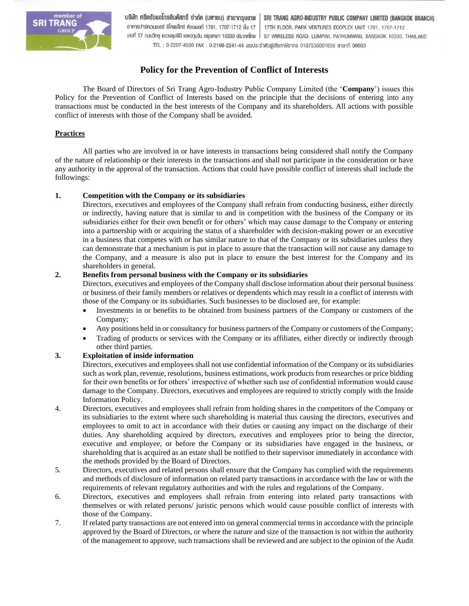

บริษัท ศรีตรังแอโกรอินดัสทรี จำกัด (มหาชน) สาขากรุงเทพ SRI TRANG AGRO-INDUSTRY PUBLIC COMPANY LIMITED (BANGKOK BRANCH) อาคารปาร์คเวนเชอร์ อีโคเพล็กซ์ ห้องเลขที่ 1701, 1707-1712 ชั้น 17 17TH FLOOR, PARK VENTURES ECOPLEX UNIT 1701, 1707-1712 เลขที่ 57 กนนวิทยุ แขวงลุมพินี เขตปทุมวัน กรุงเทพฯ 10330 ประเทศไทย | 57 WIRELESS ROAD, LUMPINI, PATHUMWAN, BANGKOK 10330. THAILAND TEL: 0-2207-4500 FAX: 0-2108-2241-44 เลขประจำตัวพู้เสียกาษีอากร 0107536001656 สาขาที่ 00003

# **Policy for the Prevention of Conflict of Interests**

The Board of Directors of Sri Trang Agro-Industry Public Company Limited (the '**Company**') issues this Policy for the Prevention of Conflict of Interests based on the principle that the decisions of entering into any transactions must be conducted in the best interests of the Company and its shareholders. All actions with possible conflict of interests with those of the Company shall be avoided.

## **Practices**

All parties who are involved in or have interests in transactions being considered shall notify the Company of the nature of relationship or their interests in the transactions and shall not participate in the consideration or have any authority in the approval of the transaction. Actions that could have possible conflict of interests shall include the followings:

## **1. Competition with the Company or its subsidiaries**

Directors, executives and employees of the Company shall refrain from conducting business, either directly or indirectly, having nature that is similar to and in competition with the business of the Company or its subsidiaries either for their own benefit or for others' which may cause damage to the Company or entering into a partnership with or acquiring the status of a shareholder with decision-making power or an executive in a business that competes with or has similar nature to that of the Company or its subsidiaries unless they can demonstrate that a mechanism is put in place to assure that the transaction will not cause any damage to the Company, and a measure is also put in place to ensure the best interest for the Company and its shareholders in general.

## **2. Benefits from personal business with the Company or its subsidiaries**

Directors, executives and employees of the Company shall disclose information about their personal business or business of their family members or relatives or dependents which may result in a conflict of interests with those of the Company or its subsidiaries. Such businesses to be disclosed are, for example:

- Investments in or benefits to be obtained from business partners of the Company or customers of the Company;
- Any positions held in or consultancy for business partners of the Company or customers of the Company;
- Trading of products or services with the Company or its affiliates, either directly or indirectly through other third parties.

## **3. Exploitation of inside information**

Directors, executives and employees shall not use confidential information of the Company or its subsidiaries such as work plan, revenue, resolutions, business estimations, work products from researches or price bidding for their own benefits or for others' irrespective of whether such use of confidential information would cause damage to the Company. Directors, executives and employees are required to strictly comply with the Inside Information Policy.

- 4. Directors, executives and employees shall refrain from holding shares in the competitors of the Company or its subsidiaries to the extent where such shareholding is material thus causing the directors, executives and employees to omit to act in accordance with their duties or causing any impact on the discharge of their duties. Any shareholding acquired by directors, executives and employees prior to being the director, executive and employee, or before the Company or its subsidiaries have engaged in the business, or shareholding that is acquired as an estate shall be notified to their supervisor immediately in accordance with the methods provided by the Board of Directors.
- 5. Directors, executives and related persons shall ensure that the Company has complied with the requirements and methods of disclosure of information on related party transactions in accordance with the law or with the requirements of relevant regulatory authorities and with the rules and regulations of the Company.
- 6. Directors, executives and employees shall refrain from entering into related party transactions with themselves or with related persons/ juristic persons which would cause possible conflict of interests with those of the Company.
- 7. If related party transactions are not entered into on general commercial terms in accordance with the principle approved by the Board of Directors, or where the nature and size of the transaction is not within the authority of the management to approve, such transactions shall be reviewed and are subject to the opinion of the Audit